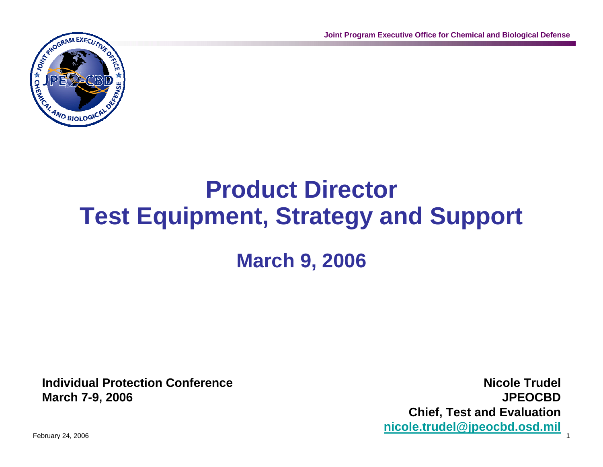

### **Product Director Test Equipment, Strategy and Support March 9, 2006**

**Individual Protection ConferenceMarch 7-9, 2006**

**Nicole TrudelJPEOCBDChief, Test and Evaluation nicole.trudel@jpeocbd.osd.mil**

February 24, 2006 1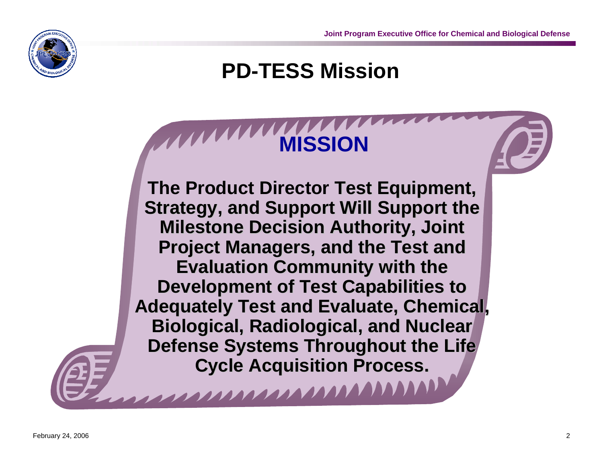

#### **PD-TESS Mission**

## **MISSION**

**The Product Director Test Equipment, Strategy, and Support Will Support the Milestone Decision Authorit Milestone Decision Authority, Joint y, Joint Project Managers, and the Test and Evaluation Community with the Development of Test Capabilities to Adequately Test and Evaluate, Chemical, Biological, Radiological, and Nuclear Defense Systems Throughout the Life Cycle Acquisition Process.** 

1111111111111111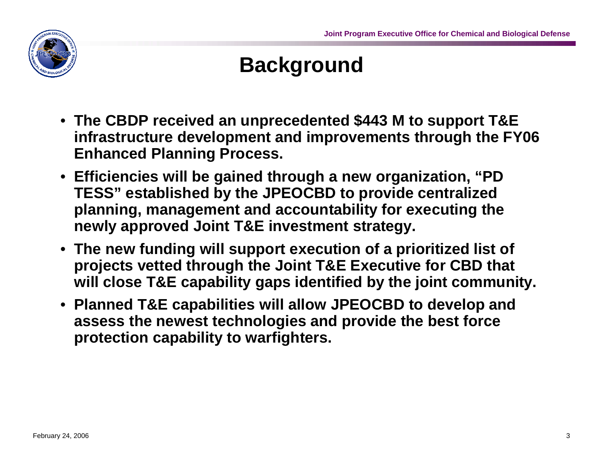

#### **Background**

- **The CBDP received an unprecedented \$443 M to support T&E infrastructure development and improvements through the FY06 Enhanced Planning Process.**
- **Efficiencies will be gained through a new organization, "PD TESS" established by the JPEOCBD to provide centralized planning, management and accountability for executing the newly approved Joint T&E investment strategy.**
- **The new funding will support execution of a prioritized list of projects vetted through the Joint T&E Executive for CBD that will close T&E capability gaps identified by the joint community.**
- **Planned T&E capabilities will allow JPEOCBD to develop and assess the newest technologies and provide the best force protection capability to warfighters.**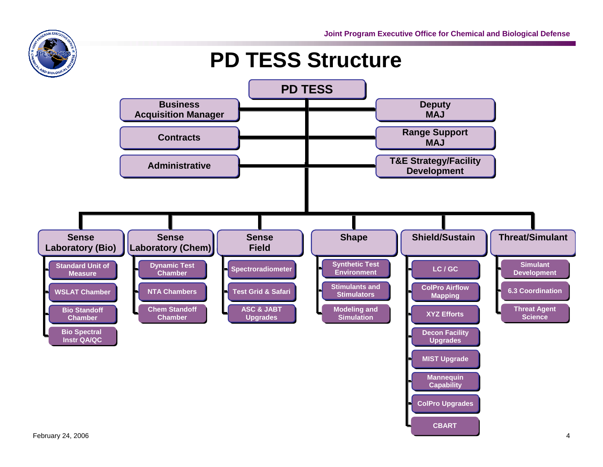# **DAM EXECA**

#### **PD TESS Structure**

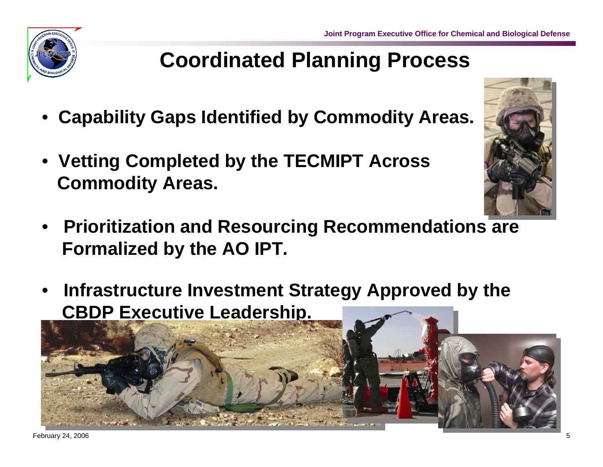#### **Coordinated Planning Process**

- •**Capability Gaps Identified by Commodity Areas.**
- **Vetting Completed by the TECMIPT Across Commodity Areas.**
- **Prioritization and Resourcing Recommendations are Formalized by the AO IPT.**
- • **Infrastructure Investment Strategy Approved by the CBDP Executive Leadership.**



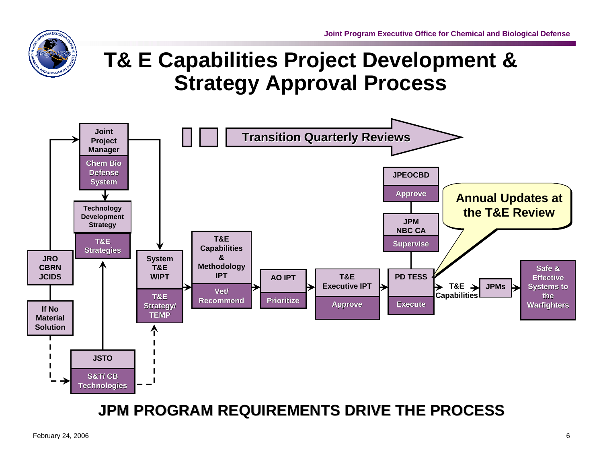

#### **T& E Capabilities Project Development & Strategy Approval Process**



#### **JPM PROGRAM REQUIREMENTS DRIVE THE PROCESS JPM PROGRAM REQUIREMENTS DRIVE THE PROCESS**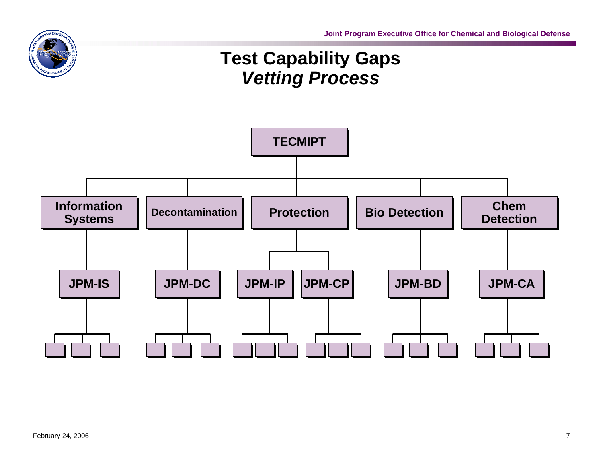

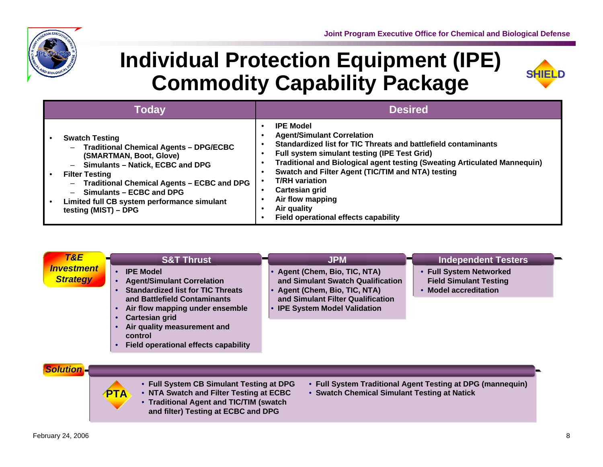

#### **Individual Protection Equipment (IPE) Commodity Capability Package**



| <b>Today</b>                                                                                                                                                                                                                                                                                                                                                      | <b>Desired</b>                                                                                                                                                                                                                                                                                                                                                                                                                         |
|-------------------------------------------------------------------------------------------------------------------------------------------------------------------------------------------------------------------------------------------------------------------------------------------------------------------------------------------------------------------|----------------------------------------------------------------------------------------------------------------------------------------------------------------------------------------------------------------------------------------------------------------------------------------------------------------------------------------------------------------------------------------------------------------------------------------|
| <b>Swatch Testing</b><br><b>Traditional Chemical Agents - DPG/ECBC</b><br>$\overline{\phantom{0}}$<br>(SMARTMAN, Boot, Glove)<br>Simulants - Natick, ECBC and DPG<br>—<br><b>Filter Testing</b><br><b>Traditional Chemical Agents - ECBC and DPG</b><br>—<br>Simulants - ECBC and DPG<br>—<br>Limited full CB system performance simulant<br>testing (MIST) - DPG | <b>IPE Model</b><br><b>Agent/Simulant Correlation</b><br>Standardized list for TIC Threats and battlefield contaminants<br>Full system simulant testing (IPE Test Grid)<br>Traditional and Biological agent testing (Sweating Articulated Mannequin)<br>Swatch and Filter Agent (TIC/TIM and NTA) testing<br><b>T/RH</b> variation<br>Cartesian grid<br>Air flow mapping<br>Air quality<br><b>Field operational effects capability</b> |

| <b>Field Simulant Testing</b><br><b>Agent/Simulant Correlation</b><br><b>Standardized list for TIC Threats</b><br>• Model accreditation<br>Agent (Chem, Bio, TIC, NTA)<br>and Simulant Filter Qualification<br>and Battlefield Contaminants<br>Air flow mapping under ensemble<br>• IPE System Model Validation<br>٠<br><b>Cartesian grid</b><br>$\bullet$<br>Air quality measurement and<br>٠<br>control<br>Field operational effects capability<br>$\bullet$ |
|----------------------------------------------------------------------------------------------------------------------------------------------------------------------------------------------------------------------------------------------------------------------------------------------------------------------------------------------------------------------------------------------------------------------------------------------------------------|
|----------------------------------------------------------------------------------------------------------------------------------------------------------------------------------------------------------------------------------------------------------------------------------------------------------------------------------------------------------------------------------------------------------------------------------------------------------------|

| <b>Solution</b> |
|-----------------|
|                 |



- **Full System CB Simulant Testing at DPG**
- **NTA Swatch and Filter Testing at ECBC** • **Traditional Agent and TIC/TIM (swatch and filter) Testing at ECBC and DPG**
- **Full System Traditional Agent Testing at DPG (mannequin)**
- **Swatch Chemical Simulant Testing at Natick**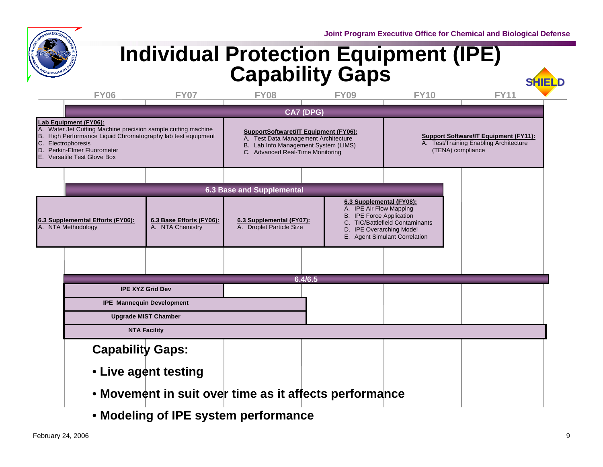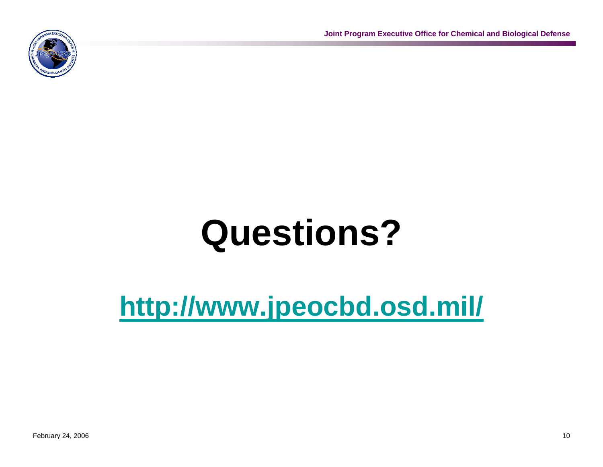# **Questions?**

## **http://www.jpeocbd.osd.mil/**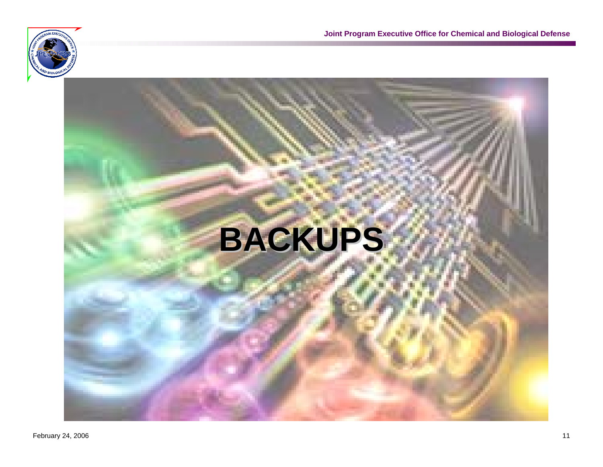

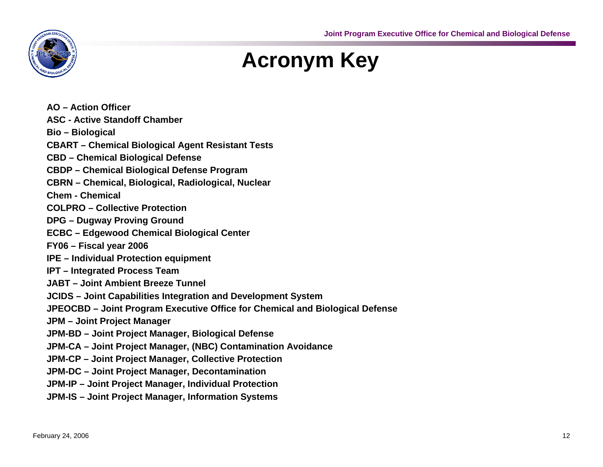

#### **Acronym Key**

**AO – Action Officer ASC - Active Standoff Chamber Bio – Biological CBART – Chemical Biological Agent Resistant Tests CBD – Chemical Biological Defense CBDP – Chemical Biological Defense Program CBRN – Chemical, Biological, Radiological, Nuclear Chem - Chemical COLPRO – Collective Protection DPG – Dugway Proving Ground ECBC – Edgewood Chemical Biological Center FY06 – Fiscal year 2006 IPE – Individual Protection equipment IPT – Integrated Process Team JABT – Joint Ambient Breeze Tunnel JCIDS – Joint Capabilities Integration and Development System JPEOCBD – Joint Program Executive Office for Chemical and Biological Defense JPM – Joint Project Manager JPM-BD – Joint Project Manager, Biological Defense JPM-CA – Joint Project Manager, (NBC) Contamination Avoidance JPM-CP – Joint Project Manager, Collective Protection JPM-DC – Joint Project Manager, Decontamination JPM-IP – Joint Project Manager, Individual Protection JPM-IS – Joint Project Manager, Information Systems**